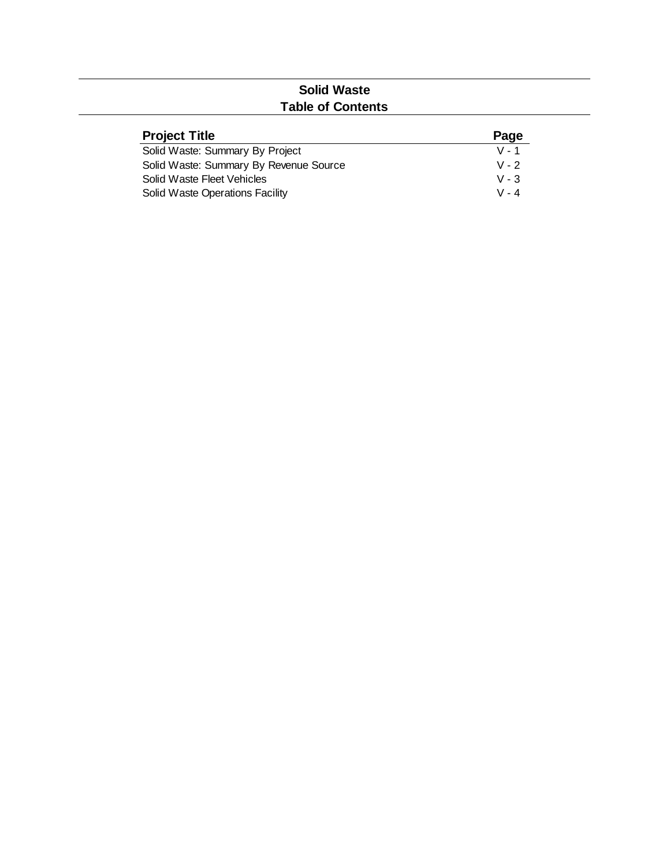# **Solid Waste Table of Contents**

| <b>Project Title</b>                   | Page    |
|----------------------------------------|---------|
| Solid Waste: Summary By Project        | $V - 1$ |
| Solid Waste: Summary By Revenue Source | $V - 2$ |
| Solid Waste Fleet Vehicles             | $V - 3$ |
| Solid Waste Operations Facility        | $V - 4$ |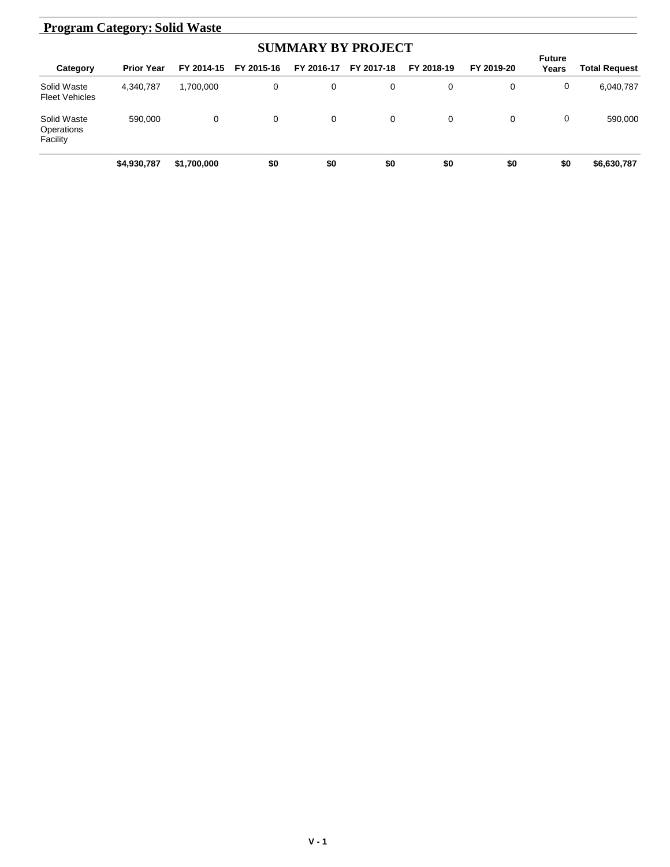#### **Category Prior Year FY 2014-15 FY 2015-16 FY 2016-17 FY 2017-18 FY 2018-19 FY 2019-20 Total Request Program Category: Solid Waste SUMMARY BY PROJECT Future Years** Solid Waste Fleet Vehicles 4,340,787 1,700,000 0 0 0 0 0 0 6,040,787 Solid Waste **Operations** Facility 590,000 0 0 0 0 0 0 0 590,000 **\$4,930,787 \$1,700,000 \$0 \$0 \$0 \$0 \$0 \$0 \$6,630,787**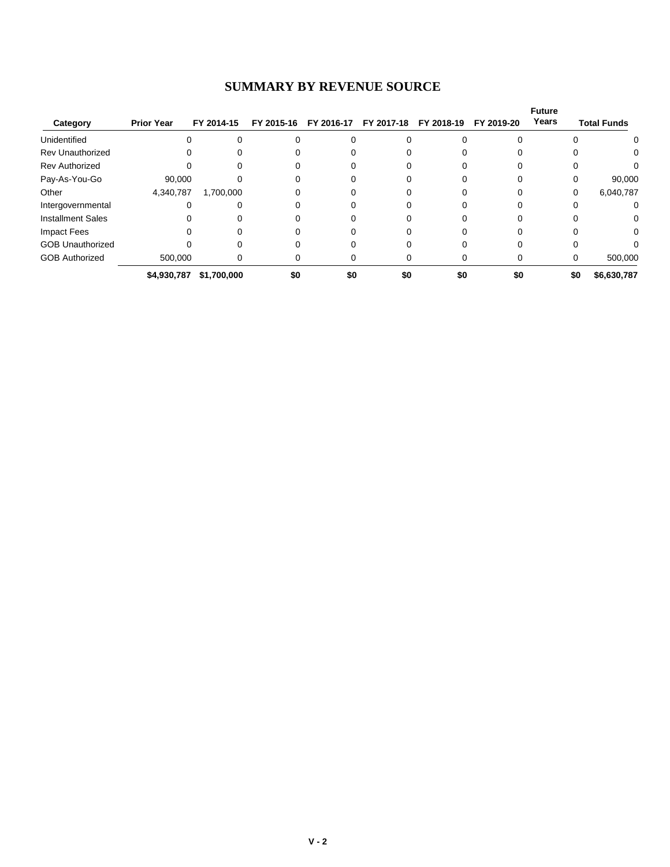### **SUMMARY BY REVENUE SOURCE**

|                          |                   |             |     |                       |            |            |            | <b>Future</b><br>Years |                    |
|--------------------------|-------------------|-------------|-----|-----------------------|------------|------------|------------|------------------------|--------------------|
| Category                 | <b>Prior Year</b> | FY 2014-15  |     | FY 2015-16 FY 2016-17 | FY 2017-18 | FY 2018-19 | FY 2019-20 |                        | <b>Total Funds</b> |
| Unidentified             | $\Omega$          |             |     |                       |            |            |            |                        | 0                  |
| <b>Rev Unauthorized</b>  |                   |             |     |                       |            |            |            |                        | 0                  |
| <b>Rev Authorized</b>    |                   |             |     |                       |            |            |            |                        |                    |
| Pay-As-You-Go            | 90,000            |             |     |                       |            |            |            |                        | 90,000             |
| Other                    | 4,340,787         | 1,700,000   |     |                       |            |            |            | 0                      | 6,040,787          |
| Intergovernmental        |                   |             |     |                       |            |            |            |                        |                    |
| <b>Installment Sales</b> |                   |             |     |                       |            |            |            |                        | 0                  |
| Impact Fees              |                   |             |     |                       |            |            |            |                        | 0                  |
| <b>GOB Unauthorized</b>  |                   |             |     |                       |            |            |            |                        |                    |
| <b>GOB Authorized</b>    | 500.000           |             |     |                       |            |            |            |                        | 500,000            |
|                          | \$4,930,787       | \$1,700,000 | \$0 | \$0                   | \$0        | \$0        | \$0        | \$0                    | \$6,630,787        |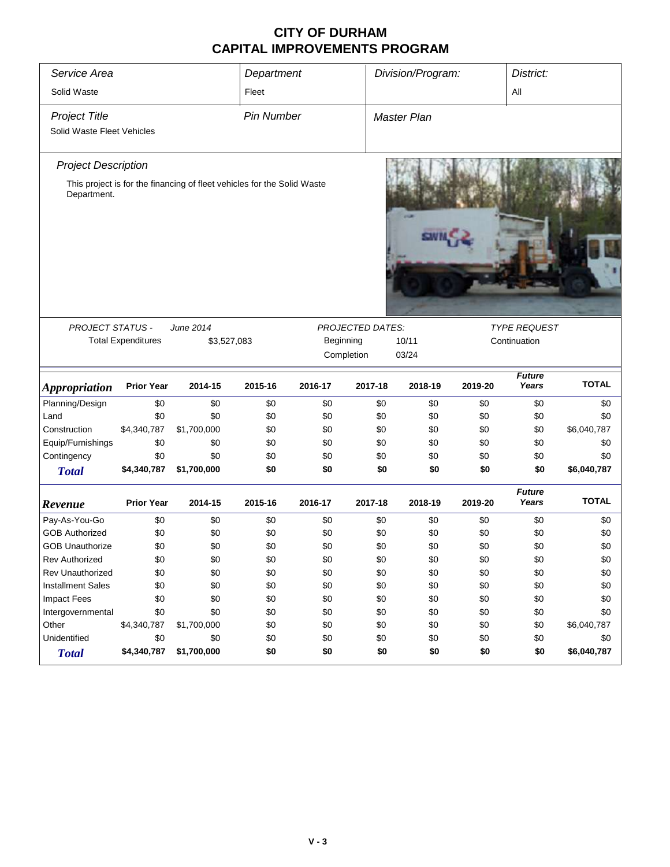### **CITY OF DURHAM CAPITAL IMPROVEMENTS PROGRAM**

| Service Area                                                                           |                    |                    | Department        |                     |                         | Division/Program:     |            | District:              |                    |
|----------------------------------------------------------------------------------------|--------------------|--------------------|-------------------|---------------------|-------------------------|-----------------------|------------|------------------------|--------------------|
| Solid Waste                                                                            |                    |                    | Fleet             |                     |                         |                       |            | All                    |                    |
| <b>Project Title</b>                                                                   |                    |                    | <b>Pin Number</b> |                     |                         | Master Plan           |            |                        |                    |
| Solid Waste Fleet Vehicles                                                             |                    |                    |                   |                     |                         |                       |            |                        |                    |
|                                                                                        |                    |                    |                   |                     |                         |                       |            |                        |                    |
| <b>Project Description</b>                                                             |                    |                    |                   |                     |                         |                       |            |                        |                    |
| This project is for the financing of fleet vehicles for the Solid Waste<br>Department. |                    |                    |                   |                     |                         |                       |            |                        |                    |
| PROJECT STATUS -                                                                       |                    | June 2014          |                   |                     | <b>PROJECTED DATES:</b> |                       |            | <b>TYPE REQUEST</b>    |                    |
| <b>Total Expenditures</b><br>\$3,527,083                                               |                    |                    |                   | Beginning           |                         | 10/11<br>Continuation |            |                        |                    |
|                                                                                        |                    |                    |                   | Completion<br>03/24 |                         |                       |            |                        |                    |
|                                                                                        |                    |                    |                   |                     |                         |                       |            |                        |                    |
|                                                                                        |                    |                    |                   |                     |                         |                       |            |                        |                    |
| <b>Appropriation</b>                                                                   | <b>Prior Year</b>  | 2014-15            | 2015-16           | 2016-17             | 2017-18                 | 2018-19               | 2019-20    | <b>Future</b><br>Years | <b>TOTAL</b>       |
| Planning/Design                                                                        | \$0                | \$0                | \$0               | \$0                 | \$0                     | \$0                   | \$0        | \$0                    | \$0                |
| Land                                                                                   | \$0                | \$0                | \$0               | \$0                 | \$0                     | \$0                   | \$0        | \$0                    | \$0                |
| Construction                                                                           | \$4,340,787        | \$1,700,000        | \$0               | \$0                 | \$0                     | \$0                   | \$0        | \$0                    | \$6,040,787        |
| Equip/Furnishings                                                                      | \$0                | \$0                | \$0               | \$0                 | \$0                     | \$0                   | \$0        | \$0                    | \$0                |
| Contingency                                                                            | \$0                | \$0                | \$0               | \$0                 | \$0                     | \$0                   | \$0        | \$0                    | \$0                |
| <b>Total</b>                                                                           | \$4,340,787        | \$1,700,000        | \$0               | \$0                 | \$0                     | \$0                   | \$0        | \$0                    | \$6,040,787        |
| Revenue                                                                                | <b>Prior Year</b>  | 2014-15            | 2015-16           | 2016-17             | 2017-18                 | 2018-19               | 2019-20    | <b>Future</b><br>Years | <b>TOTAL</b>       |
| Pay-As-You-Go                                                                          | \$0                | \$0                | \$0               | \$0                 | \$0                     | \$0                   | \$0        | \$0                    | \$0                |
| <b>GOB Authorized</b>                                                                  | \$0                | \$0                | \$0               | \$0                 | \$0                     | \$0                   | \$0        | \$0                    |                    |
| <b>GOB Unauthorize</b>                                                                 |                    |                    |                   |                     | \$0                     | \$0                   |            |                        | \$0                |
| <b>Rev Authorized</b>                                                                  | \$0<br>\$0         | \$0                | \$0               | \$0                 |                         |                       | \$0        | \$0                    | \$0                |
| Rev Unauthorized                                                                       | \$0                | \$0                | \$0               | \$0<br>\$0          | \$0<br>\$0              | \$0                   | \$0        | \$0<br>\$0             | \$0                |
| <b>Installment Sales</b>                                                               | \$0                | \$0                | \$0               |                     |                         | \$0                   | \$0        |                        | \$0                |
|                                                                                        |                    | \$0                | \$0               | \$0                 | \$0                     | \$0                   | \$0        | \$0                    | \$0                |
| Impact Fees                                                                            | \$0                | \$0                | \$0               | \$0                 | \$0                     | \$0                   | \$0        | \$0                    | \$0                |
| Intergovernmental                                                                      | \$0                | \$0                | \$0               | \$0                 | \$0                     | \$0                   | \$0        | \$0                    | \$0                |
| Other<br>Unidentified                                                                  | \$4,340,787<br>\$0 | \$1,700,000<br>\$0 | \$0<br>\$0        | \$0<br>\$0          | \$0<br>\$0              | \$0<br>\$0            | \$0<br>\$0 | \$0<br>\$0             | \$6,040,787<br>\$0 |